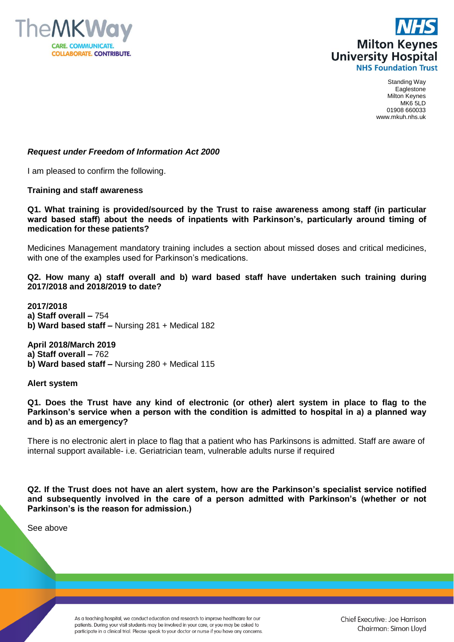



Standing Way Eaglestone Milton Keynes MK6 5LD 01908 660033 www.mkuh.nhs.uk

## *Request under Freedom of Information Act 2000*

I am pleased to confirm the following.

#### **Training and staff awareness**

## **Q1. What training is provided/sourced by the Trust to raise awareness among staff (in particular ward based staff) about the needs of inpatients with Parkinson's, particularly around timing of medication for these patients?**

Medicines Management mandatory training includes a section about missed doses and critical medicines, with one of the examples used for Parkinson's medications.

## **Q2. How many a) staff overall and b) ward based staff have undertaken such training during 2017/2018 and 2018/2019 to date?**

**2017/2018 a) Staff overall –** 754 **b) Ward based staff –** Nursing 281 + Medical 182

**April 2018/March 2019 a) Staff overall –** 762 **b) Ward based staff –** Nursing 280 + Medical 115

#### **Alert system**

**Q1. Does the Trust have any kind of electronic (or other) alert system in place to flag to the Parkinson's service when a person with the condition is admitted to hospital in a) a planned way and b) as an emergency?** 

There is no electronic alert in place to flag that a patient who has Parkinsons is admitted. Staff are aware of internal support available- i.e. Geriatrician team, vulnerable adults nurse if required

**Q2. If the Trust does not have an alert system, how are the Parkinson's specialist service notified and subsequently involved in the care of a person admitted with Parkinson's (whether or not Parkinson's is the reason for admission.)** 

See above

As a teaching hospital, we conduct education and research to improve healthcare for our patients. During your visit students may be involved in your care, or you may be asked to participate in a clinical trial. Please speak to your doctor or nurse if you have any concerns.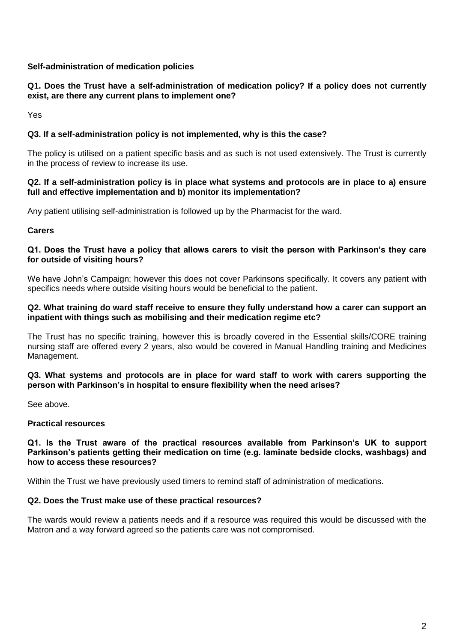# **Self-administration of medication policies**

# **Q1. Does the Trust have a self-administration of medication policy? If a policy does not currently exist, are there any current plans to implement one?**

Yes

# **Q3. If a self-administration policy is not implemented, why is this the case?**

The policy is utilised on a patient specific basis and as such is not used extensively. The Trust is currently in the process of review to increase its use.

## **Q2. If a self-administration policy is in place what systems and protocols are in place to a) ensure full and effective implementation and b) monitor its implementation?**

Any patient utilising self-administration is followed up by the Pharmacist for the ward.

## **Carers**

## **Q1. Does the Trust have a policy that allows carers to visit the person with Parkinson's they care for outside of visiting hours?**

We have John's Campaign; however this does not cover Parkinsons specifically. It covers any patient with specifics needs where outside visiting hours would be beneficial to the patient.

## **Q2. What training do ward staff receive to ensure they fully understand how a carer can support an inpatient with things such as mobilising and their medication regime etc?**

The Trust has no specific training, however this is broadly covered in the Essential skills/CORE training nursing staff are offered every 2 years, also would be covered in Manual Handling training and Medicines Management.

## **Q3. What systems and protocols are in place for ward staff to work with carers supporting the person with Parkinson's in hospital to ensure flexibility when the need arises?**

See above.

## **Practical resources**

#### **Q1. Is the Trust aware of the practical resources available from Parkinson's UK to support Parkinson's patients getting their medication on time (e.g. laminate bedside clocks, washbags) and how to access these resources?**

Within the Trust we have previously used timers to remind staff of administration of medications.

## **Q2. Does the Trust make use of these practical resources?**

The wards would review a patients needs and if a resource was required this would be discussed with the Matron and a way forward agreed so the patients care was not compromised.